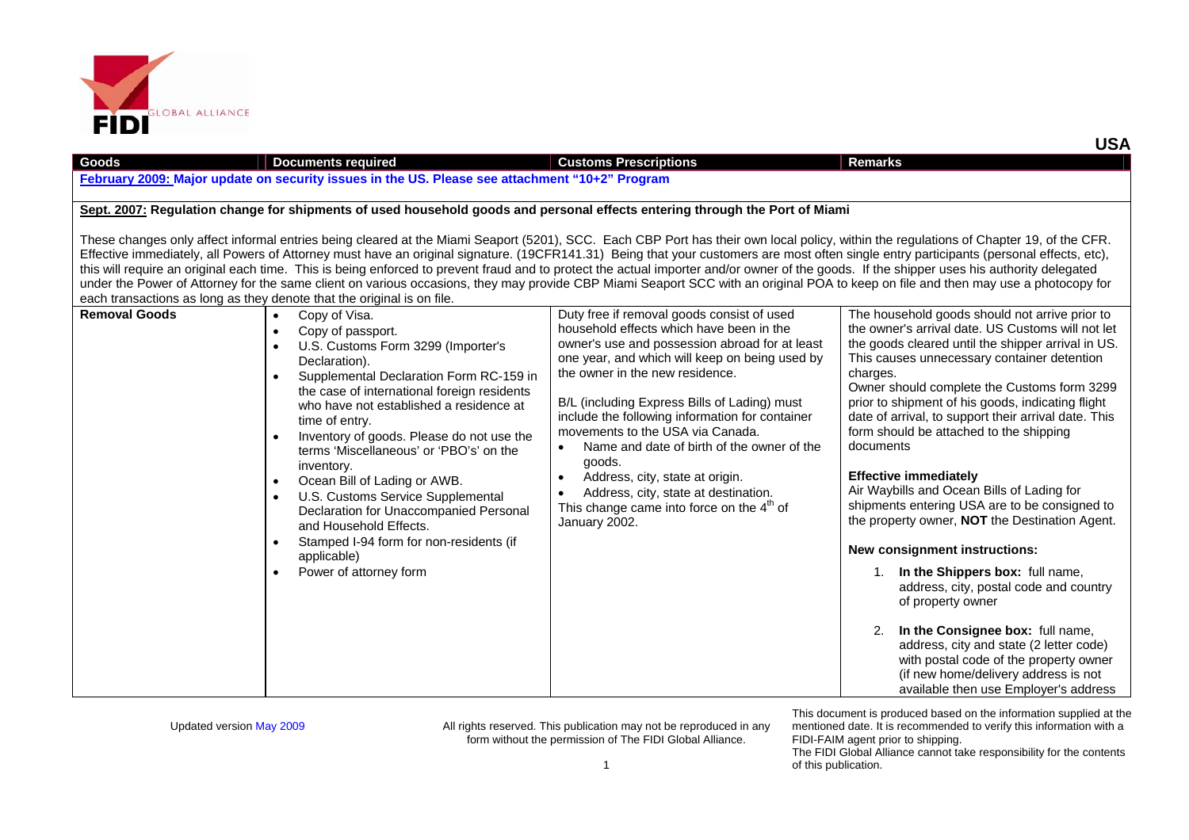

| Goods                                                                                                                                                                                                                                                                                                                                                                                                                                                                                                                                                                                                                                                                                                                                                                  | <b>Documents required</b>                                                                                                                                                                                                                                                                                                                                                                                                                                                                                                                                                                                                                                                      | <b>Customs Prescriptions</b>                                                                                                                                                                                                                                                                                                                                                                                                                                                                                                                                                                      | Remarks                                                                                                                                                                                                                                                                                                                                                                                                                                                                                                                                                                                                                                                                                                                                                                                                                                                                                                  |  |
|------------------------------------------------------------------------------------------------------------------------------------------------------------------------------------------------------------------------------------------------------------------------------------------------------------------------------------------------------------------------------------------------------------------------------------------------------------------------------------------------------------------------------------------------------------------------------------------------------------------------------------------------------------------------------------------------------------------------------------------------------------------------|--------------------------------------------------------------------------------------------------------------------------------------------------------------------------------------------------------------------------------------------------------------------------------------------------------------------------------------------------------------------------------------------------------------------------------------------------------------------------------------------------------------------------------------------------------------------------------------------------------------------------------------------------------------------------------|---------------------------------------------------------------------------------------------------------------------------------------------------------------------------------------------------------------------------------------------------------------------------------------------------------------------------------------------------------------------------------------------------------------------------------------------------------------------------------------------------------------------------------------------------------------------------------------------------|----------------------------------------------------------------------------------------------------------------------------------------------------------------------------------------------------------------------------------------------------------------------------------------------------------------------------------------------------------------------------------------------------------------------------------------------------------------------------------------------------------------------------------------------------------------------------------------------------------------------------------------------------------------------------------------------------------------------------------------------------------------------------------------------------------------------------------------------------------------------------------------------------------|--|
| February 2009: Major update on security issues in the US. Please see attachment "10+2" Program                                                                                                                                                                                                                                                                                                                                                                                                                                                                                                                                                                                                                                                                         |                                                                                                                                                                                                                                                                                                                                                                                                                                                                                                                                                                                                                                                                                |                                                                                                                                                                                                                                                                                                                                                                                                                                                                                                                                                                                                   |                                                                                                                                                                                                                                                                                                                                                                                                                                                                                                                                                                                                                                                                                                                                                                                                                                                                                                          |  |
| Sept. 2007: Regulation change for shipments of used household goods and personal effects entering through the Port of Miami                                                                                                                                                                                                                                                                                                                                                                                                                                                                                                                                                                                                                                            |                                                                                                                                                                                                                                                                                                                                                                                                                                                                                                                                                                                                                                                                                |                                                                                                                                                                                                                                                                                                                                                                                                                                                                                                                                                                                                   |                                                                                                                                                                                                                                                                                                                                                                                                                                                                                                                                                                                                                                                                                                                                                                                                                                                                                                          |  |
|                                                                                                                                                                                                                                                                                                                                                                                                                                                                                                                                                                                                                                                                                                                                                                        |                                                                                                                                                                                                                                                                                                                                                                                                                                                                                                                                                                                                                                                                                |                                                                                                                                                                                                                                                                                                                                                                                                                                                                                                                                                                                                   |                                                                                                                                                                                                                                                                                                                                                                                                                                                                                                                                                                                                                                                                                                                                                                                                                                                                                                          |  |
| These changes only affect informal entries being cleared at the Miami Seaport (5201), SCC. Each CBP Port has their own local policy, within the regulations of Chapter 19, of the CFR.<br>Effective immediately, all Powers of Attorney must have an original signature. (19CFR141.31) Being that your customers are most often single entry participants (personal effects, etc),<br>this will require an original each time. This is being enforced to prevent fraud and to protect the actual importer and/or owner of the goods. If the shipper uses his authority delegated<br>under the Power of Attorney for the same client on various occasions, they may provide CBP Miami Seaport SCC with an original POA to keep on file and then may use a photocopy for |                                                                                                                                                                                                                                                                                                                                                                                                                                                                                                                                                                                                                                                                                |                                                                                                                                                                                                                                                                                                                                                                                                                                                                                                                                                                                                   |                                                                                                                                                                                                                                                                                                                                                                                                                                                                                                                                                                                                                                                                                                                                                                                                                                                                                                          |  |
|                                                                                                                                                                                                                                                                                                                                                                                                                                                                                                                                                                                                                                                                                                                                                                        | each transactions as long as they denote that the original is on file.                                                                                                                                                                                                                                                                                                                                                                                                                                                                                                                                                                                                         |                                                                                                                                                                                                                                                                                                                                                                                                                                                                                                                                                                                                   |                                                                                                                                                                                                                                                                                                                                                                                                                                                                                                                                                                                                                                                                                                                                                                                                                                                                                                          |  |
| <b>Removal Goods</b>                                                                                                                                                                                                                                                                                                                                                                                                                                                                                                                                                                                                                                                                                                                                                   | Copy of Visa.<br>$\bullet$<br>Copy of passport.<br>$\bullet$<br>U.S. Customs Form 3299 (Importer's<br>Declaration).<br>Supplemental Declaration Form RC-159 in<br>$\bullet$<br>the case of international foreign residents<br>who have not established a residence at<br>time of entry.<br>Inventory of goods. Please do not use the<br>$\bullet$<br>terms 'Miscellaneous' or 'PBO's' on the<br>inventory.<br>Ocean Bill of Lading or AWB.<br>$\bullet$<br>U.S. Customs Service Supplemental<br>$\bullet$<br>Declaration for Unaccompanied Personal<br>and Household Effects.<br>Stamped I-94 form for non-residents (if<br>applicable)<br>Power of attorney form<br>$\bullet$ | Duty free if removal goods consist of used<br>household effects which have been in the<br>owner's use and possession abroad for at least<br>one year, and which will keep on being used by<br>the owner in the new residence.<br>B/L (including Express Bills of Lading) must<br>include the following information for container<br>movements to the USA via Canada.<br>Name and date of birth of the owner of the<br>goods.<br>Address, city, state at origin.<br>$\bullet$<br>Address, city, state at destination.<br>$\bullet$<br>This change came into force on the $4th$ of<br>January 2002. | The household goods should not arrive prior to<br>the owner's arrival date. US Customs will not let<br>the goods cleared until the shipper arrival in US.<br>This causes unnecessary container detention<br>charges.<br>Owner should complete the Customs form 3299<br>prior to shipment of his goods, indicating flight<br>date of arrival, to support their arrival date. This<br>form should be attached to the shipping<br>documents<br><b>Effective immediately</b><br>Air Waybills and Ocean Bills of Lading for<br>shipments entering USA are to be consigned to<br>the property owner, <b>NOT</b> the Destination Agent.<br>New consignment instructions:<br>In the Shippers box: full name,<br>1.<br>address, city, postal code and country<br>of property owner<br>In the Consignee box: full name,<br>2.<br>address, city and state (2 letter code)<br>with postal code of the property owner |  |

This document is produced based on the information supplied at the mentioned date. It is recommended to verify this information with a FIDI-FAIM agent prior to shipping.

**USA**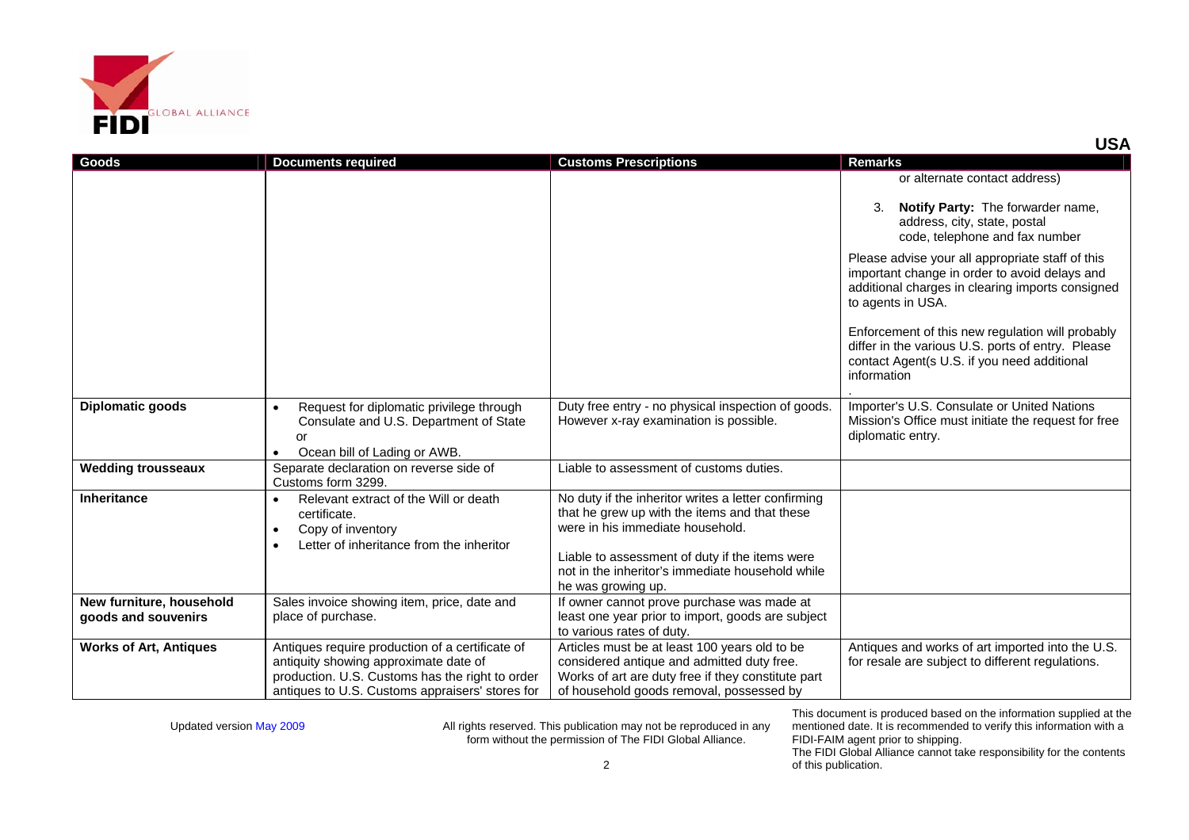

| Goods                                           | <b>Documents required</b>                                                                                                                                                                      | <b>Customs Prescriptions</b>                                                                                                                                                                                                                                         | <b>Remarks</b>                                                                                                                                                             |
|-------------------------------------------------|------------------------------------------------------------------------------------------------------------------------------------------------------------------------------------------------|----------------------------------------------------------------------------------------------------------------------------------------------------------------------------------------------------------------------------------------------------------------------|----------------------------------------------------------------------------------------------------------------------------------------------------------------------------|
|                                                 |                                                                                                                                                                                                |                                                                                                                                                                                                                                                                      | or alternate contact address)                                                                                                                                              |
|                                                 |                                                                                                                                                                                                |                                                                                                                                                                                                                                                                      | <b>Notify Party: The forwarder name,</b><br>3.<br>address, city, state, postal<br>code, telephone and fax number                                                           |
|                                                 |                                                                                                                                                                                                |                                                                                                                                                                                                                                                                      | Please advise your all appropriate staff of this<br>important change in order to avoid delays and<br>additional charges in clearing imports consigned<br>to agents in USA. |
|                                                 |                                                                                                                                                                                                |                                                                                                                                                                                                                                                                      | Enforcement of this new regulation will probably<br>differ in the various U.S. ports of entry. Please<br>contact Agent(s U.S. if you need additional<br>information        |
| <b>Diplomatic goods</b>                         | Request for diplomatic privilege through<br>$\bullet$<br>Consulate and U.S. Department of State<br>or<br>Ocean bill of Lading or AWB.<br>$\bullet$                                             | Duty free entry - no physical inspection of goods.<br>However x-ray examination is possible.                                                                                                                                                                         | Importer's U.S. Consulate or United Nations<br>Mission's Office must initiate the request for free<br>diplomatic entry.                                                    |
| <b>Wedding trousseaux</b>                       | Separate declaration on reverse side of<br>Customs form 3299.                                                                                                                                  | Liable to assessment of customs duties.                                                                                                                                                                                                                              |                                                                                                                                                                            |
| <b>Inheritance</b>                              | Relevant extract of the Will or death<br>certificate.<br>Copy of inventory<br>$\bullet$<br>Letter of inheritance from the inheritor<br>$\bullet$                                               | No duty if the inheritor writes a letter confirming<br>that he grew up with the items and that these<br>were in his immediate household.<br>Liable to assessment of duty if the items were<br>not in the inheritor's immediate household while<br>he was growing up. |                                                                                                                                                                            |
| New furniture, household<br>goods and souvenirs | Sales invoice showing item, price, date and<br>place of purchase.                                                                                                                              | If owner cannot prove purchase was made at<br>least one year prior to import, goods are subject<br>to various rates of duty.                                                                                                                                         |                                                                                                                                                                            |
| <b>Works of Art, Antiques</b>                   | Antiques require production of a certificate of<br>antiquity showing approximate date of<br>production. U.S. Customs has the right to order<br>antiques to U.S. Customs appraisers' stores for | Articles must be at least 100 years old to be<br>considered antique and admitted duty free.<br>Works of art are duty free if they constitute part<br>of household goods removal, possessed by                                                                        | Antiques and works of art imported into the U.S.<br>for resale are subject to different regulations.                                                                       |

This document is produced based on the information supplied at the mentioned date. It is recommended to verify this information with a FIDI-FAIM agent prior to shipping. The FIDI Global Alliance cannot take responsibility for the contents

**USA**

of this publication.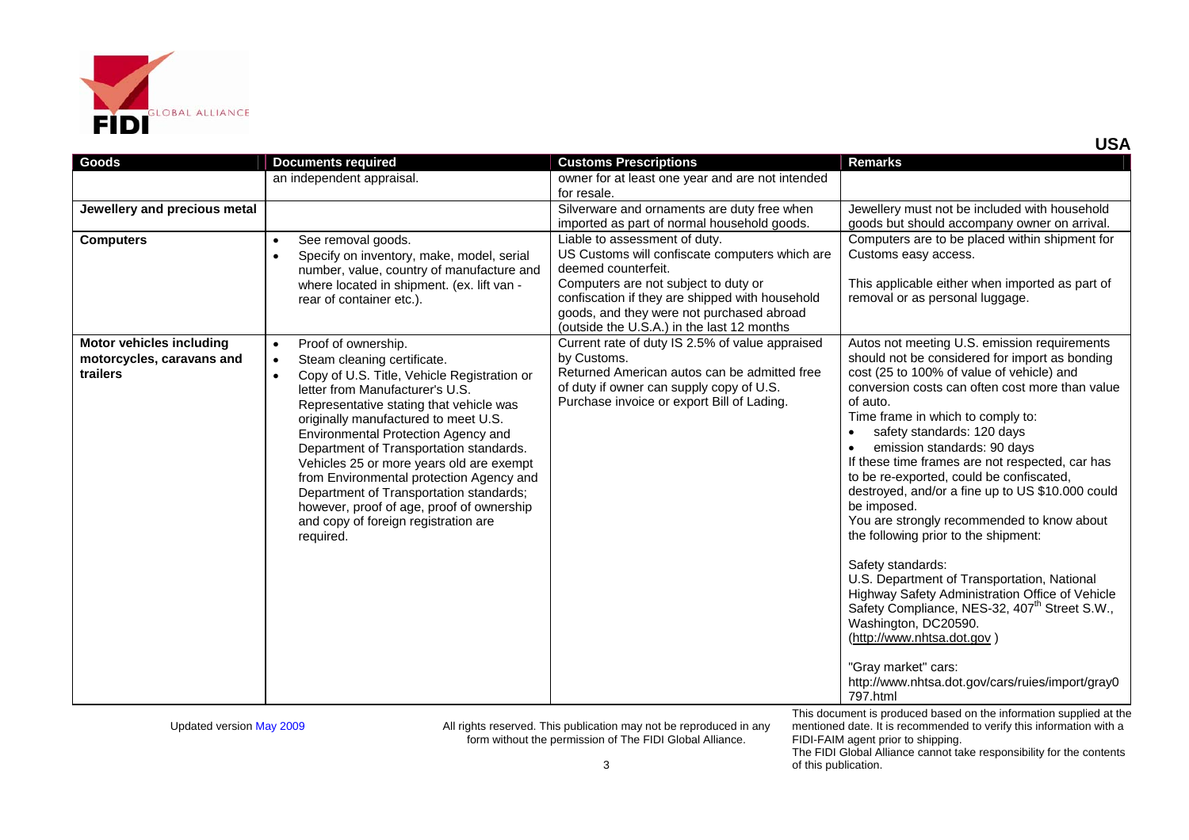

|                                                                          |                                                                                                                                                                                                                                                                                                                                                                                                                                                                                                                                                                                       | for resale.                                                                                                                                                                                                                                                                                  |                                                                                                                                                                                                                                                                                                                                                                                                                                                                                                                                                                                                                                                                                                                                                                                                                             |
|--------------------------------------------------------------------------|---------------------------------------------------------------------------------------------------------------------------------------------------------------------------------------------------------------------------------------------------------------------------------------------------------------------------------------------------------------------------------------------------------------------------------------------------------------------------------------------------------------------------------------------------------------------------------------|----------------------------------------------------------------------------------------------------------------------------------------------------------------------------------------------------------------------------------------------------------------------------------------------|-----------------------------------------------------------------------------------------------------------------------------------------------------------------------------------------------------------------------------------------------------------------------------------------------------------------------------------------------------------------------------------------------------------------------------------------------------------------------------------------------------------------------------------------------------------------------------------------------------------------------------------------------------------------------------------------------------------------------------------------------------------------------------------------------------------------------------|
| Jewellery and precious metal                                             |                                                                                                                                                                                                                                                                                                                                                                                                                                                                                                                                                                                       | Silverware and ornaments are duty free when<br>imported as part of normal household goods.                                                                                                                                                                                                   | Jewellery must not be included with household<br>goods but should accompany owner on arrival.                                                                                                                                                                                                                                                                                                                                                                                                                                                                                                                                                                                                                                                                                                                               |
| <b>Computers</b>                                                         | See removal goods.<br>$\bullet$<br>Specify on inventory, make, model, serial<br>number, value, country of manufacture and<br>where located in shipment. (ex. lift van -<br>rear of container etc.).                                                                                                                                                                                                                                                                                                                                                                                   | Liable to assessment of duty.<br>US Customs will confiscate computers which are<br>deemed counterfeit.<br>Computers are not subject to duty or<br>confiscation if they are shipped with household<br>goods, and they were not purchased abroad<br>(outside the U.S.A.) in the last 12 months | Computers are to be placed within shipment for<br>Customs easy access.<br>This applicable either when imported as part of<br>removal or as personal luggage.                                                                                                                                                                                                                                                                                                                                                                                                                                                                                                                                                                                                                                                                |
| <b>Motor vehicles including</b><br>motorcycles, caravans and<br>trailers | Proof of ownership.<br>$\bullet$<br>Steam cleaning certificate.<br>$\bullet$<br>Copy of U.S. Title, Vehicle Registration or<br>$\bullet$<br>letter from Manufacturer's U.S.<br>Representative stating that vehicle was<br>originally manufactured to meet U.S.<br>Environmental Protection Agency and<br>Department of Transportation standards.<br>Vehicles 25 or more years old are exempt<br>from Environmental protection Agency and<br>Department of Transportation standards;<br>however, proof of age, proof of ownership<br>and copy of foreign registration are<br>required. | Current rate of duty IS 2.5% of value appraised<br>by Customs.<br>Returned American autos can be admitted free<br>of duty if owner can supply copy of U.S.<br>Purchase invoice or export Bill of Lading.                                                                                     | Autos not meeting U.S. emission requirements<br>should not be considered for import as bonding<br>cost (25 to 100% of value of vehicle) and<br>conversion costs can often cost more than value<br>of auto.<br>Time frame in which to comply to:<br>safety standards: 120 days<br>$\bullet$<br>emission standards: 90 days<br>If these time frames are not respected, car has<br>to be re-exported, could be confiscated,<br>destroyed, and/or a fine up to US \$10.000 could<br>be imposed.<br>You are strongly recommended to know about<br>the following prior to the shipment:<br>Safety standards:<br>U.S. Department of Transportation, National<br>Highway Safety Administration Office of Vehicle<br>Safety Compliance, NES-32, 407 <sup>th</sup> Street S.W.,<br>Washington, DC20590.<br>(http://www.nhtsa.dot.gov) |

Updated version May 2009 **All rights reserved.** This publication may not be reproduced in any form without the permission of The FIDI Global Alliance.

**Goods Documents required** Customs Prescriptions **Remarks** Remarks

an independent appraisal. owner for at least one year and are not intended

This document is produced based on the information supplied at the mentioned date. It is recommended to verify this information with a FIDI-FAIM agent prior to shipping.

http://www.nhtsa.dot.gov/cars/ruies/import/gray0

"Gray market" cars:

797.html

**USA**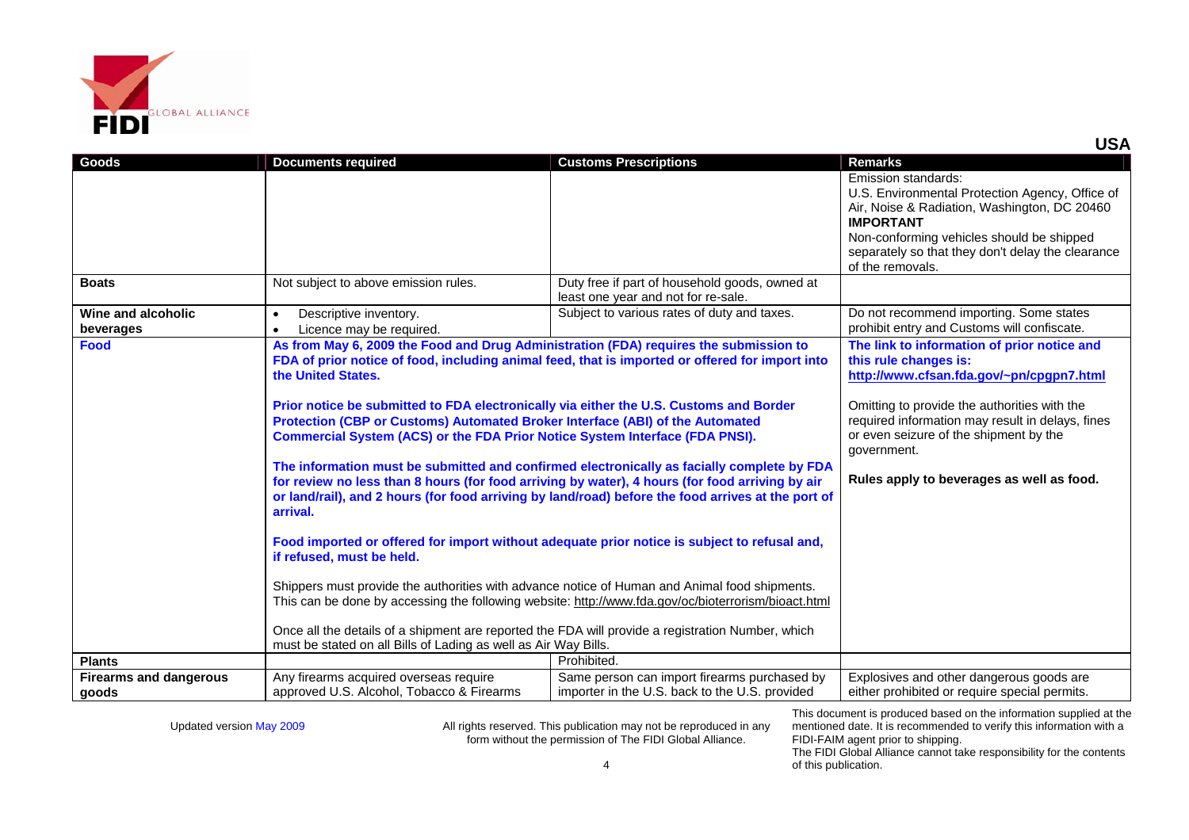

| Goods                                  | <b>Documents required</b>                                                                                                                                                                                                                                                                                                                                                                                                                                                                                                                                                                                                                                                                                                                                                                                                                                                                                                        | <b>Customs Prescriptions</b>                                                                   | <b>Remarks</b>                                                                                                                                                                                                                                                                                                             |
|----------------------------------------|----------------------------------------------------------------------------------------------------------------------------------------------------------------------------------------------------------------------------------------------------------------------------------------------------------------------------------------------------------------------------------------------------------------------------------------------------------------------------------------------------------------------------------------------------------------------------------------------------------------------------------------------------------------------------------------------------------------------------------------------------------------------------------------------------------------------------------------------------------------------------------------------------------------------------------|------------------------------------------------------------------------------------------------|----------------------------------------------------------------------------------------------------------------------------------------------------------------------------------------------------------------------------------------------------------------------------------------------------------------------------|
|                                        |                                                                                                                                                                                                                                                                                                                                                                                                                                                                                                                                                                                                                                                                                                                                                                                                                                                                                                                                  |                                                                                                | Emission standards:<br>U.S. Environmental Protection Agency, Office of<br>Air, Noise & Radiation, Washington, DC 20460<br><b>IMPORTANT</b><br>Non-conforming vehicles should be shipped<br>separately so that they don't delay the clearance<br>of the removals.                                                           |
| <b>Boats</b>                           | Not subject to above emission rules.                                                                                                                                                                                                                                                                                                                                                                                                                                                                                                                                                                                                                                                                                                                                                                                                                                                                                             | Duty free if part of household goods, owned at<br>least one year and not for re-sale.          |                                                                                                                                                                                                                                                                                                                            |
| Wine and alcoholic<br>beverages        | Descriptive inventory.<br>Licence may be required.<br>$\bullet$                                                                                                                                                                                                                                                                                                                                                                                                                                                                                                                                                                                                                                                                                                                                                                                                                                                                  | Subject to various rates of duty and taxes.                                                    | Do not recommend importing. Some states<br>prohibit entry and Customs will confiscate.                                                                                                                                                                                                                                     |
| <b>Food</b>                            | As from May 6, 2009 the Food and Drug Administration (FDA) requires the submission to<br>FDA of prior notice of food, including animal feed, that is imported or offered for import into<br>the United States.<br>Prior notice be submitted to FDA electronically via either the U.S. Customs and Border<br>Protection (CBP or Customs) Automated Broker Interface (ABI) of the Automated<br><b>Commercial System (ACS) or the FDA Prior Notice System Interface (FDA PNSI).</b><br>The information must be submitted and confirmed electronically as facially complete by FDA<br>for review no less than 8 hours (for food arriving by water), 4 hours (for food arriving by air<br>or land/rail), and 2 hours (for food arriving by land/road) before the food arrives at the port of<br>arrival.<br>Food imported or offered for import without adequate prior notice is subject to refusal and,<br>if refused, must be held. |                                                                                                | The link to information of prior notice and<br>this rule changes is:<br>http://www.cfsan.fda.gov/~pn/cpgpn7.html<br>Omitting to provide the authorities with the<br>required information may result in delays, fines<br>or even seizure of the shipment by the<br>government.<br>Rules apply to beverages as well as food. |
|                                        | Shippers must provide the authorities with advance notice of Human and Animal food shipments.<br>This can be done by accessing the following website: http://www.fda.gov/oc/bioterrorism/bioact.html<br>Once all the details of a shipment are reported the FDA will provide a registration Number, which<br>must be stated on all Bills of Lading as well as Air Way Bills.                                                                                                                                                                                                                                                                                                                                                                                                                                                                                                                                                     |                                                                                                |                                                                                                                                                                                                                                                                                                                            |
| <b>Plants</b>                          |                                                                                                                                                                                                                                                                                                                                                                                                                                                                                                                                                                                                                                                                                                                                                                                                                                                                                                                                  | Prohibited.                                                                                    |                                                                                                                                                                                                                                                                                                                            |
| <b>Firearms and dangerous</b><br>goods | Any firearms acquired overseas require<br>approved U.S. Alcohol, Tobacco & Firearms                                                                                                                                                                                                                                                                                                                                                                                                                                                                                                                                                                                                                                                                                                                                                                                                                                              | Same person can import firearms purchased by<br>importer in the U.S. back to the U.S. provided | Explosives and other dangerous goods are<br>either prohibited or require special permits.                                                                                                                                                                                                                                  |

This document is produced based on the information supplied at the mentioned date. It is recommended to verify this information with a FIDI-FAIM agent prior to shipping.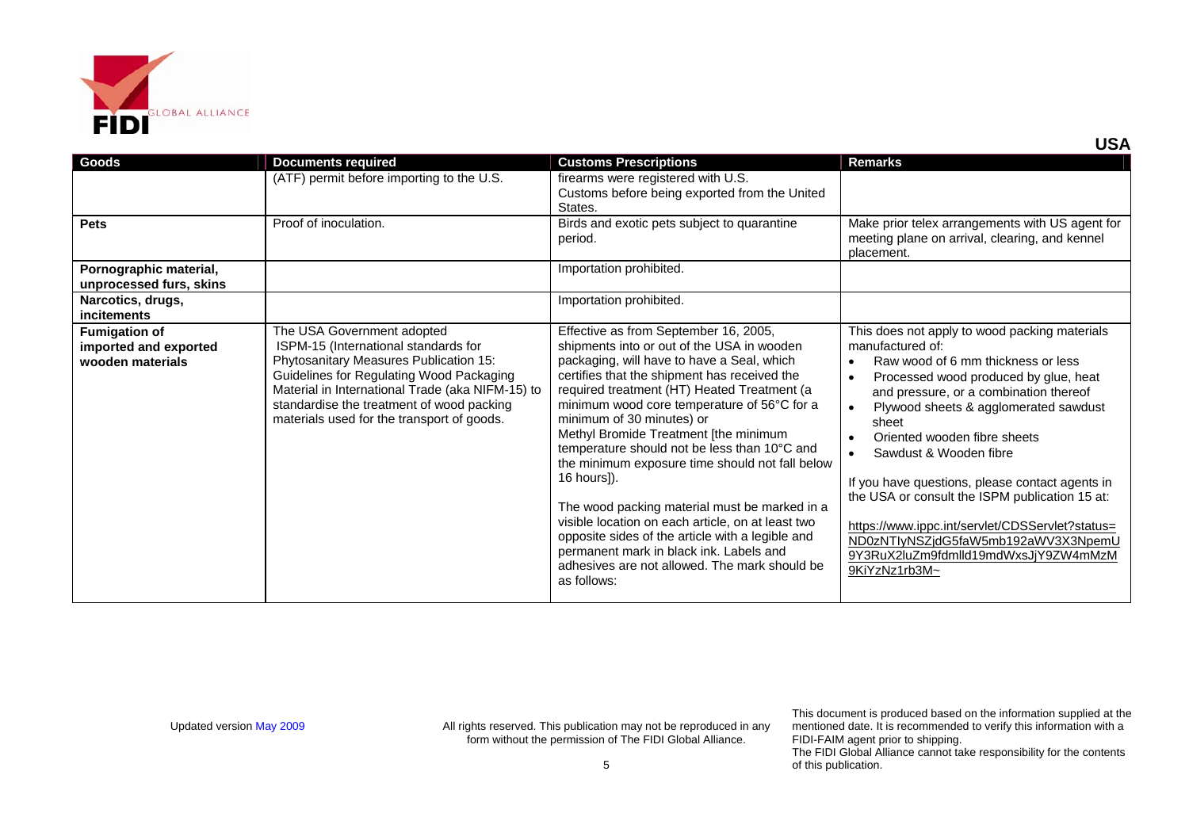

| Goods                                                             | <b>Documents required</b>                                                                                                                                                                                                                                                                               | <b>Customs Prescriptions</b>                                                                                                                                                                                                                                                                                                                                                                                                                                                                                                                                                                                                                                                                                                                 | <b>Remarks</b>                                                                                                                                                                                                                                                                                                                                                                                                                                                                                                                                                 |
|-------------------------------------------------------------------|---------------------------------------------------------------------------------------------------------------------------------------------------------------------------------------------------------------------------------------------------------------------------------------------------------|----------------------------------------------------------------------------------------------------------------------------------------------------------------------------------------------------------------------------------------------------------------------------------------------------------------------------------------------------------------------------------------------------------------------------------------------------------------------------------------------------------------------------------------------------------------------------------------------------------------------------------------------------------------------------------------------------------------------------------------------|----------------------------------------------------------------------------------------------------------------------------------------------------------------------------------------------------------------------------------------------------------------------------------------------------------------------------------------------------------------------------------------------------------------------------------------------------------------------------------------------------------------------------------------------------------------|
|                                                                   | (ATF) permit before importing to the U.S.                                                                                                                                                                                                                                                               | firearms were registered with U.S.<br>Customs before being exported from the United<br>States.                                                                                                                                                                                                                                                                                                                                                                                                                                                                                                                                                                                                                                               |                                                                                                                                                                                                                                                                                                                                                                                                                                                                                                                                                                |
| <b>Pets</b>                                                       | Proof of inoculation.                                                                                                                                                                                                                                                                                   | Birds and exotic pets subject to quarantine<br>period.                                                                                                                                                                                                                                                                                                                                                                                                                                                                                                                                                                                                                                                                                       | Make prior telex arrangements with US agent for<br>meeting plane on arrival, clearing, and kennel<br>placement.                                                                                                                                                                                                                                                                                                                                                                                                                                                |
| Pornographic material,<br>unprocessed furs, skins                 |                                                                                                                                                                                                                                                                                                         | Importation prohibited.                                                                                                                                                                                                                                                                                                                                                                                                                                                                                                                                                                                                                                                                                                                      |                                                                                                                                                                                                                                                                                                                                                                                                                                                                                                                                                                |
| Narcotics, drugs,<br><b>incitements</b>                           |                                                                                                                                                                                                                                                                                                         | Importation prohibited.                                                                                                                                                                                                                                                                                                                                                                                                                                                                                                                                                                                                                                                                                                                      |                                                                                                                                                                                                                                                                                                                                                                                                                                                                                                                                                                |
| <b>Fumigation of</b><br>imported and exported<br>wooden materials | The USA Government adopted<br>ISPM-15 (International standards for<br>Phytosanitary Measures Publication 15:<br>Guidelines for Regulating Wood Packaging<br>Material in International Trade (aka NIFM-15) to<br>standardise the treatment of wood packing<br>materials used for the transport of goods. | Effective as from September 16, 2005,<br>shipments into or out of the USA in wooden<br>packaging, will have to have a Seal, which<br>certifies that the shipment has received the<br>required treatment (HT) Heated Treatment (a<br>minimum wood core temperature of 56°C for a<br>minimum of 30 minutes) or<br>Methyl Bromide Treatment [the minimum<br>temperature should not be less than 10°C and<br>the minimum exposure time should not fall below<br>16 hours]).<br>The wood packing material must be marked in a<br>visible location on each article, on at least two<br>opposite sides of the article with a legible and<br>permanent mark in black ink. Labels and<br>adhesives are not allowed. The mark should be<br>as follows: | This does not apply to wood packing materials<br>manufactured of:<br>Raw wood of 6 mm thickness or less<br>Processed wood produced by glue, heat<br>and pressure, or a combination thereof<br>Plywood sheets & agglomerated sawdust<br>sheet<br>Oriented wooden fibre sheets<br>Sawdust & Wooden fibre<br>If you have questions, please contact agents in<br>the USA or consult the ISPM publication 15 at:<br>https://www.ippc.int/servlet/CDSServlet?status=<br>ND0zNTIyNSZjdG5faW5mb192aWV3X3NpemU<br>9Y3RuX2luZm9fdmlld19mdWxsJjY9ZW4mMzM<br>9KiYzNz1rb3M~ |

This document is produced based on the information supplied at the mentioned date. It is recommended to verify this information with a FIDI-FAIM agent prior to shipping.